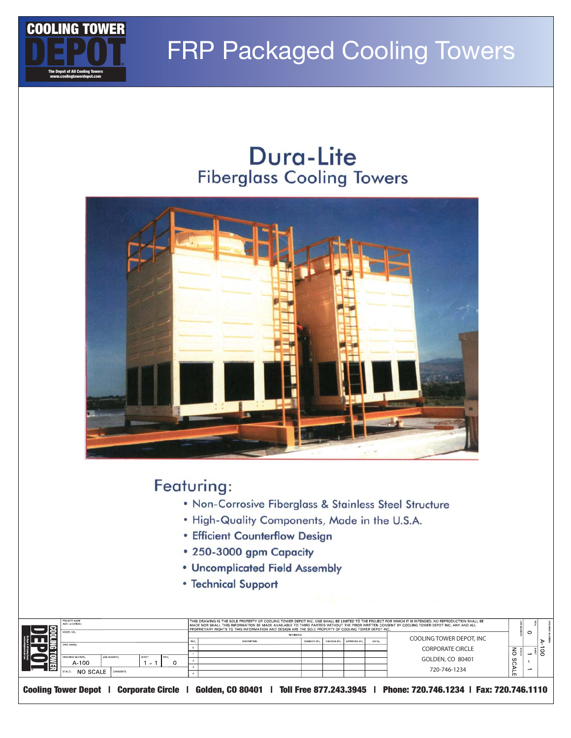

### **FRP Packaged Cooling Towers**

### Dura-Lite **Fiberglass Cooling Towers**



#### Featuring:

- . Non-Corrosive Fiberglass & Stainless Steel Structure
- . High-Quality Components, Made in the U.S.A.
- Efficient Counterflow Design
- 250-3000 gpm Capacity
- Uncomplicated Field Assembly
- Technical Support

| E | PROJECT NAME<br>AND LOCATION:<br>MODEL NO.                                             |                     | THIS DRAWING IS THE SOLE PROPERTY OF COOLING TOWER DEPOT INC. USE SHALL BE LIMITED TO THE PROJECT FOR WHICH IT IS INTENDED. NO REPRODUCTION SHALL BE<br>I MADE NOR SHALL THIS INFORMATION BE MADE AVAILABLE TO THIRD PARTIES WITHOUT THE PRIOR WRITTEN CONSENT BY COOLING TOWER DEPOT INC. ANY AND ALL<br>PROPRIETARY RIGHTS TO THIS INFORMATION AND DESIGN ARE THE SOLE PROPERTY OF COOLING TOWER DEPOT INC.<br><b>REVISIONS</b> |             |             |             |             |       |                                                                                                                              | $\circ$     |  |  |
|---|----------------------------------------------------------------------------------------|---------------------|-----------------------------------------------------------------------------------------------------------------------------------------------------------------------------------------------------------------------------------------------------------------------------------------------------------------------------------------------------------------------------------------------------------------------------------|-------------|-------------|-------------|-------------|-------|------------------------------------------------------------------------------------------------------------------------------|-------------|--|--|
|   | DWG NAME<br>JOB NUMBER:<br>DRAWING NUMBER:<br>$A - 100$<br>NO SCALE<br><b>COMMENTS</b> | SHEET<br>REV:<br>of |                                                                                                                                                                                                                                                                                                                                                                                                                                   | DESCRIPTION | DESIGNED BY | CHECKED BY: | APPROVED BY | DATE: | COOLING TOWER DEPOT, INC<br><b>CORPORATE CIRCLE</b><br>GOLDEN, CO 80401<br>720-746-1234                                      | る<br>ഗ<br>ш |  |  |
|   |                                                                                        |                     |                                                                                                                                                                                                                                                                                                                                                                                                                                   |             |             |             |             |       | Cooling Tower Depot   Corporate Circle   Golden, CO 80401   Toll Free 877.243.3945   Phone: 720.746.1234   Fax: 720.746.1110 |             |  |  |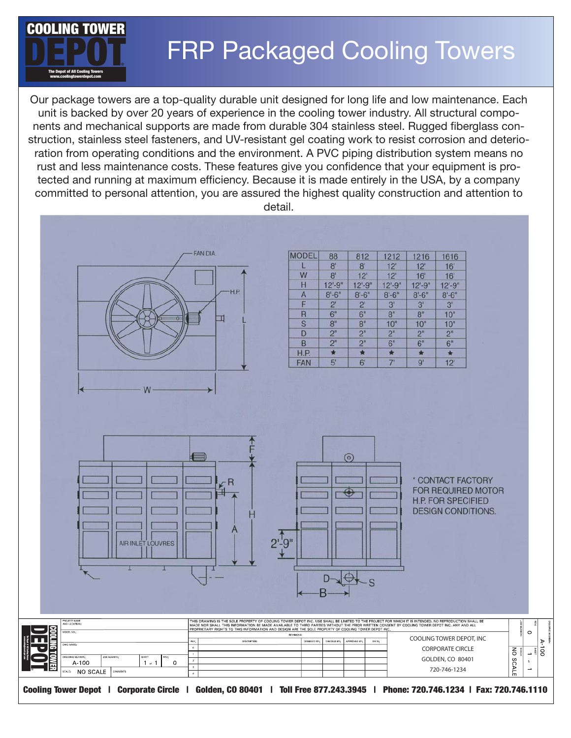

# FRP Packaged Cooling Towers

Our package towers are a top-quality durable unit designed for long life and low maintenance. Each unit is backed by over 20 years of experience in the cooling tower industry. All structural components and mechanical supports are made from durable 304 stainless steel. Rugged fiberglass construction, stainless steel fasteners, and UV-resistant gel coating work to resist corrosion and deterioration from operating conditions and the environment. A PVC piping distribution system means no rust and less maintenance costs. These features give you confidence that your equipment is protected and running at maximum efficiency. Because it is made entirely in the USA, by a company committed to personal attention, you are assured the highest quality construction and attention to detail.



| <b>MODEL</b> | 88             | 812            | 1212             | 1216           | 1616           |
|--------------|----------------|----------------|------------------|----------------|----------------|
|              | 8 <sup>1</sup> | 8 <sup>1</sup> | 12'              | 12'            | 16'            |
| W            | 8'             | 12             | 12'              | 16'            | 16'            |
| Н            | $12 - 9"$      | $12 - 9"$      | $12 - 9"$        | $12 - 9"$      | $12 - 9"$      |
| A            | $8 - 6''$      | $8' - 6''$     | $8' - 6"$        | $8 - 6"$       | $8 - 6"$       |
| F            | $2^{\prime}$   | $2^{\prime}$   | 3'               | 3'             | 3'             |
| R            | 6"             | 6"             | 8"               | 8"             | 10"            |
| S            | 8"             | 8"             | 10 <sup>th</sup> | 10"            | 10"            |
| D            | 2 <sup>n</sup> | 2"             | 2"               | 2"             | 2 <sup>n</sup> |
| B            | 2"             | 2"             | 6"               | 6 <sup>n</sup> | 6"             |
| H.P.         | $\star$        |                | ÷                | $\star$        | ×.             |
| <b>FAN</b>   | 5'             | 6'             | 7'               | 9'             | 12'            |
|              |                |                |                  |                |                |